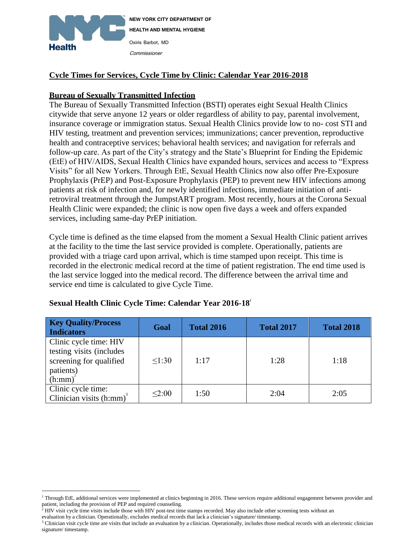

# **Cycle Times for Services, Cycle Time by Clinic: Calendar Year 2016-2018**

#### **Bureau of Sexually Transmitted Infection**

The Bureau of Sexually Transmitted Infection (BSTI) operates eight Sexual Health Clinics citywide that serve anyone 12 years or older regardless of ability to pay, parental involvement, insurance coverage or immigration status. Sexual Health Clinics provide low to no- cost STI and HIV testing, treatment and prevention services; immunizations; cancer prevention, reproductive health and contraceptive services; behavioral health services; and navigation for referrals and follow-up care. As part of the City's strategy and the State's Blueprint for Ending the Epidemic (EtE) of HIV/AIDS, Sexual Health Clinics have expanded hours, services and access to "Express Visits" for all New Yorkers. Through EtE, Sexual Health Clinics now also offer Pre-Exposure Prophylaxis (PrEP) and Post-Exposure Prophylaxis (PEP) to prevent new HIV infections among patients at risk of infection and, for newly identified infections, immediate initiation of antiretroviral treatment through the JumpstART program. Most recently, hours at the Corona Sexual Health Clinic were expanded; the clinic is now open five days a week and offers expanded services, including same-day PrEP initiation.

Cycle time is defined as the time elapsed from the moment a Sexual Health Clinic patient arrives at the facility to the time the last service provided is complete. Operationally, patients are provided with a triage card upon arrival, which is time stamped upon receipt. This time is recorded in the electronic medical record at the time of patient registration. The end time used is the last service logged into the medical record. The difference between the arrival time and service end time is calculated to give Cycle Time.

| <b>Key Quality/Process</b><br><b>Indicators</b>                                                      | Goal   | <b>Total 2016</b> | <b>Total 2017</b> | <b>Total 2018</b> |
|------------------------------------------------------------------------------------------------------|--------|-------------------|-------------------|-------------------|
| Clinic cycle time: HIV<br>testing visits (includes<br>screening for qualified<br>patients)<br>(h:mm) | 1:30   | 1:17              | 1:28              | 1:18              |
| Clinic cycle time:<br>Clinician visits $(h:mm)^3$                                                    | < 2:00 | 1:50              | 2:04              | 2:05              |

#### **Sexual Health Clinic Cycle Time: Calendar Year 2016-18 1**

evaluation by a clinician. Operationally, excludes medical records that lack a clinician's signature/ timestamp.

 $\overline{a}$ 

<sup>&</sup>lt;sup>1</sup> Through EtE, additional services were implemented at clinics beginning in 2016. These services require additional engagement between provider and patient, including the provision of PEP and required counseling.

 $<sup>2</sup>$  HIV visit cycle time visits include those with HIV post-test time stamps recorded. May also include other screening tests without an</sup>

<sup>&</sup>lt;sup>3</sup> Clinician visit cycle time are visits that include an evaluation by a clinician. Operationally, includes those medical records with an electronic clinician signature/ timestamp.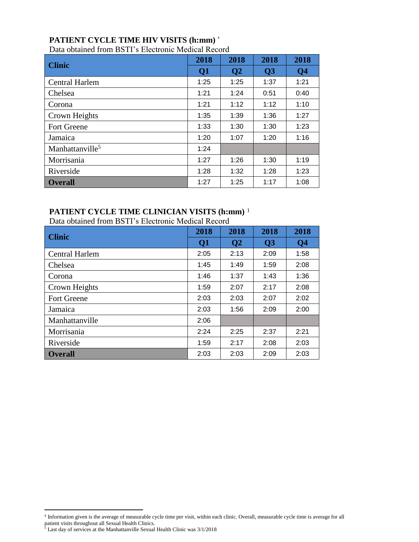# **PATIENT CYCLE TIME HIV VISITS (h:mm)** <sup>4</sup>

|                             | 2018            | 2018            | 2018           | 2018           |
|-----------------------------|-----------------|-----------------|----------------|----------------|
| <b>Clinic</b>               | $\overline{O1}$ | $\overline{O2}$ | Q <sub>3</sub> | Q <sub>4</sub> |
| <b>Central Harlem</b>       | 1:25            | 1:25            | 1:37           | 1:21           |
| Chelsea                     | 1:21            | 1:24            | 0:51           | 0:40           |
| Corona                      | 1:21            | 1:12            | 1:12           | 1:10           |
| Crown Heights               | 1:35            | 1:39            | 1:36           | 1:27           |
| <b>Fort Greene</b>          | 1:33            | 1:30            | 1:30           | 1:23           |
| Jamaica                     | 1:20            | 1:07            | 1:20           | 1:16           |
| Manhattanville <sup>5</sup> | 1:24            |                 |                |                |
| Morrisania                  | 1:27            | 1:26            | 1:30           | 1:19           |
| Riverside                   | 1:28            | 1:32            | 1:28           | 1:23           |
| <b>Overall</b>              | 1:27            | 1:25            | 1:17           | 1:08           |

Data obtained from BSTI's Electronic Medical Record

# **PATIENT CYCLE TIME CLINICIAN VISITS (h:mm)** <sup>1</sup>

Data obtained from BSTI's Electronic Medical Record

| <b>Clinic</b>         | 2018            | 2018           | 2018 | 2018           |
|-----------------------|-----------------|----------------|------|----------------|
|                       | $\overline{O1}$ | Q <sub>2</sub> | Q3   | Q <sub>4</sub> |
| <b>Central Harlem</b> | 2:05            | 2:13           | 2:09 | 1:58           |
| Chelsea               | 1:45            | 1:49           | 1:59 | 2:08           |
| Corona                | 1:46            | 1:37           | 1:43 | 1:36           |
| Crown Heights         | 1:59            | 2:07           | 2:17 | 2:08           |
| <b>Fort Greene</b>    | 2:03            | 2:03           | 2:07 | 2:02           |
| Jamaica               | 2:03            | 1:56           | 2:09 | 2:00           |
| Manhattanville        | 2:06            |                |      |                |
| Morrisania            | 2:24            | 2:25           | 2:37 | 2:21           |
| Riverside             | 1:59            | 2:17           | 2:08 | 2:03           |
| <b>Overall</b>        | 2:03            | 2:03           | 2:09 | 2:03           |

 4 Information given is the average of measurable cycle time per visit, within each clinic. Overall, measurable cycle time is average for all patient visits throughout all Sexual Health Clinics.

<sup>&</sup>lt;sup>5</sup> Last day of services at the Manhattanville Sexual Health Clinic was 3/1/2018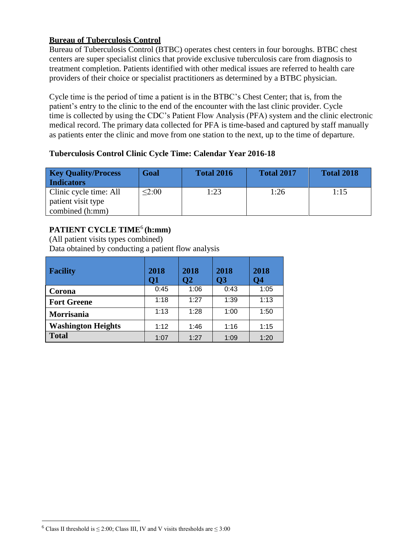#### **Bureau of Tuberculosis Control**

Bureau of Tuberculosis Control (BTBC) operates chest centers in four boroughs. BTBC chest centers are super specialist clinics that provide exclusive tuberculosis care from diagnosis to treatment completion. Patients identified with other medical issues are referred to health care providers of their choice or specialist practitioners as determined by a BTBC physician.

Cycle time is the period of time a patient is in the BTBC's Chest Center; that is, from the patient's entry to the clinic to the end of the encounter with the last clinic provider. Cycle time is collected by using the CDC's Patient Flow Analysis (PFA) system and the clinic electronic medical record. The primary data collected for PFA is time-based and captured by staff manually as patients enter the clinic and move from one station to the next, up to the time of departure.

# **Tuberculosis Control Clinic Cycle Time: Calendar Year 2016-18**

| <b>Key Quality/Process</b><br><b>Indicators</b> | Goal   | <b>Total 2016</b> | <b>Total 2017</b> | <b>Total 2018</b> |
|-------------------------------------------------|--------|-------------------|-------------------|-------------------|
| Clinic cycle time: All                          | < 2:00 | 1:23              | 1:26              | 1:15              |
| patient visit type                              |        |                   |                   |                   |
| combined (h:mm)                                 |        |                   |                   |                   |

# **PATIENT CYCLE TIME**<sup>6</sup> **(h:mm)**

(All patient visits types combined) Data obtained by conducting a patient flow analysis

| <b>Facility</b>           | 2018<br>Q1 | 2018<br>Q2 | 2018<br><b>O3</b> | 2018<br>Q4 |
|---------------------------|------------|------------|-------------------|------------|
| Corona                    | 0:45       | 1:06       | 0:43              | 1:05       |
| <b>Fort Greene</b>        | 1:18       | 1:27       | 1:39              | 1:13       |
| Morrisania                | 1:13       | 1:28       | 1:00              | 1:50       |
| <b>Washington Heights</b> | 1:12       | 1:46       | 1:16              | 1:15       |
| <b>Total</b>              | 1:07       | 1:27       | 1:09              | 1:20       |

 $\overline{a}$ 

<sup>&</sup>lt;sup>6</sup> Class II threshold is  $\leq$  2:00; Class III, IV and V visits thresholds are  $\leq$  3:00